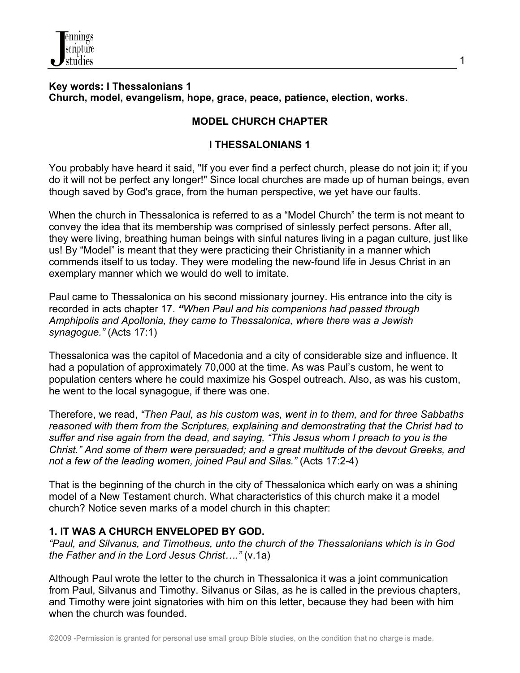

## **Key words: I Thessalonians 1 Church, model, evangelism, hope, grace, peace, patience, election, works.**

# **MODEL CHURCH CHAPTER**

## **I THESSALONIANS 1**

You probably have heard it said, "If you ever find a perfect church, please do not join it; if you do it will not be perfect any longer!" Since local churches are made up of human beings, even though saved by God's grace, from the human perspective, we yet have our faults.

When the church in Thessalonica is referred to as a "Model Church" the term is not meant to convey the idea that its membership was comprised of sinlessly perfect persons. After all, they were living, breathing human beings with sinful natures living in a pagan culture, just like us! By "Model" is meant that they were practicing their Christianity in a manner which commends itself to us today. They were modeling the new-found life in Jesus Christ in an exemplary manner which we would do well to imitate.

Paul came to Thessalonica on his second missionary journey. His entrance into the city is recorded in acts chapter 17. *"When Paul and his companions had passed through Amphipolis and Apollonia, they came to Thessalonica, where there was a Jewish synagogue."* (Acts 17:1)

Thessalonica was the capitol of Macedonia and a city of considerable size and influence. It had a population of approximately 70,000 at the time. As was Paul's custom, he went to population centers where he could maximize his Gospel outreach. Also, as was his custom, he went to the local synagogue, if there was one.

Therefore, we read, *"Then Paul, as his custom was, went in to them, and for three Sabbaths reasoned with them from the Scriptures, explaining and demonstrating that the Christ had to suffer and rise again from the dead, and saying, "This Jesus whom I preach to you is the Christ." And some of them were persuaded; and a great multitude of the devout Greeks, and not a few of the leading women, joined Paul and Silas."* (Acts 17:2-4)

That is the beginning of the church in the city of Thessalonica which early on was a shining model of a New Testament church. What characteristics of this church make it a model church? Notice seven marks of a model church in this chapter:

## **1. IT WAS A CHURCH ENVELOPED BY GOD.**

*"Paul, and Silvanus, and Timotheus, unto the church of the Thessalonians which is in God the Father and in the Lord Jesus Christ…."* (v.1a)

Although Paul wrote the letter to the church in Thessalonica it was a joint communication from Paul, Silvanus and Timothy. Silvanus or Silas, as he is called in the previous chapters, and Timothy were joint signatories with him on this letter, because they had been with him when the church was founded.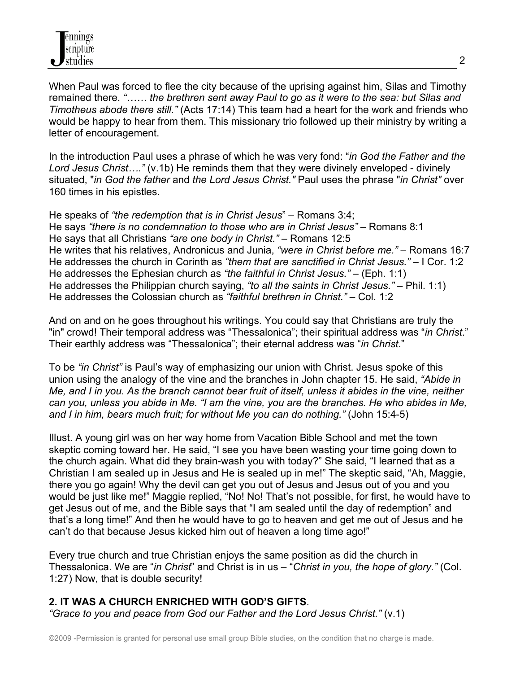

When Paul was forced to flee the city because of the uprising against him, Silas and Timothy remained there. *"…… the brethren sent away Paul to go as it were to the sea: but Silas and Timotheus abode there still."* (Acts 17:14) This team had a heart for the work and friends who would be happy to hear from them. This missionary trio followed up their ministry by writing a letter of encouragement.

In the introduction Paul uses a phrase of which he was very fond: "*in God the Father and the Lord Jesus Christ…."* (v.1b) He reminds them that they were divinely enveloped - divinely situated, "*in God the father* and *the Lord Jesus Christ."* Paul uses the phrase "*in Christ"* over 160 times in his epistles.

He speaks of *"the redemption that is in Christ Jesus*" – Romans 3:4; He says *"there is no condemnation to those who are in Christ Jesus"* – Romans 8:1 He says that all Christians *"are one body in Christ."* – Romans 12:5 He writes that his relatives, Andronicus and Junia, *"were in Christ before me."* – Romans 16:7 He addresses the church in Corinth as *"them that are sanctified in Christ Jesus."* – I Cor. 1:2 He addresses the Ephesian church as *"the faithful in Christ Jesus."* – (Eph. 1:1) He addresses the Philippian church saying, *"to all the saints in Christ Jesus."* – Phil. 1:1) He addresses the Colossian church as *"faithful brethren in Christ."* – Col. 1:2

And on and on he goes throughout his writings. You could say that Christians are truly the "in" crowd! Their temporal address was "Thessalonica"; their spiritual address was "*in Christ*." Their earthly address was "Thessalonica"; their eternal address was "*in Christ*."

To be *"in Christ"* is Paul's way of emphasizing our union with Christ. Jesus spoke of this union using the analogy of the vine and the branches in John chapter 15. He said, *"Abide in Me, and I in you. As the branch cannot bear fruit of itself, unless it abides in the vine, neither can you, unless you abide in Me. "I am the vine, you are the branches. He who abides in Me, and I in him, bears much fruit; for without Me you can do nothing."* (John 15:4-5)

Illust. A young girl was on her way home from Vacation Bible School and met the town skeptic coming toward her. He said, "I see you have been wasting your time going down to the church again. What did they brain-wash you with today?" She said, "I learned that as a Christian I am sealed up in Jesus and He is sealed up in me!" The skeptic said, "Ah, Maggie, there you go again! Why the devil can get you out of Jesus and Jesus out of you and you would be just like me!" Maggie replied, "No! No! That's not possible, for first, he would have to get Jesus out of me, and the Bible says that "I am sealed until the day of redemption" and that's a long time!" And then he would have to go to heaven and get me out of Jesus and he can't do that because Jesus kicked him out of heaven a long time ago!"

Every true church and true Christian enjoys the same position as did the church in Thessalonica. We are "*in Christ*" and Christ is in us – "*Christ in you, the hope of glory."* (Col. 1:27) Now, that is double security!

## **2. IT WAS A CHURCH ENRICHED WITH GOD'S GIFTS**.

*"Grace to you and peace from God our Father and the Lord Jesus Christ."* (v.1)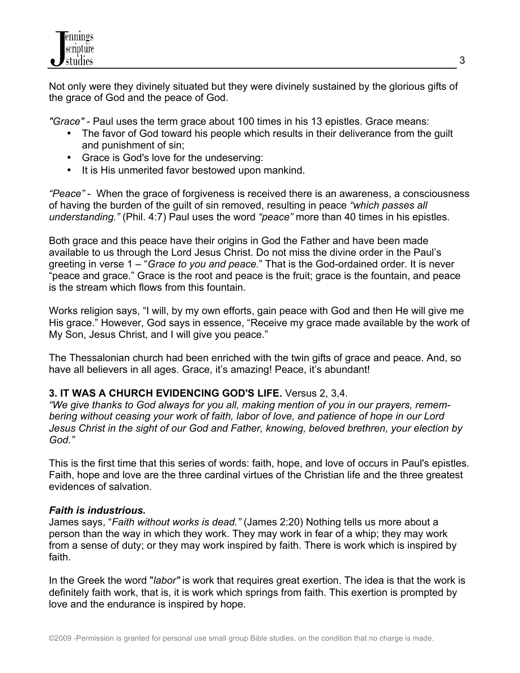Not only were they divinely situated but they were divinely sustained by the glorious gifts of the grace of God and the peace of God.

*"Grace"* - Paul uses the term grace about 100 times in his 13 epistles. Grace means:

- The favor of God toward his people which results in their deliverance from the guilt and punishment of sin;
- Grace is God's love for the undeserving:
- It is His unmerited favor bestowed upon mankind.

*"Peace"* - When the grace of forgiveness is received there is an awareness, a consciousness of having the burden of the guilt of sin removed, resulting in peace *"which passes all understanding."* (Phil. 4:7) Paul uses the word *"peace"* more than 40 times in his epistles.

Both grace and this peace have their origins in God the Father and have been made available to us through the Lord Jesus Christ. Do not miss the divine order in the Paul's greeting in verse 1 – "*Grace to you and peace.*" That is the God-ordained order. It is never "peace and grace." Grace is the root and peace is the fruit; grace is the fountain, and peace is the stream which flows from this fountain.

Works religion says, "I will, by my own efforts, gain peace with God and then He will give me His grace." However, God says in essence, "Receive my grace made available by the work of My Son, Jesus Christ, and I will give you peace."

The Thessalonian church had been enriched with the twin gifts of grace and peace. And, so have all believers in all ages. Grace, it's amazing! Peace, it's abundant!

# **3. IT WAS A CHURCH EVIDENCING GOD'S LIFE.** Versus 2, 3,4.

*"We give thanks to God always for you all, making mention of you in our prayers, remembering without ceasing your work of faith, labor of love, and patience of hope in our Lord Jesus Christ in the sight of our God and Father, knowing, beloved brethren, your election by God."*

This is the first time that this series of words: faith, hope, and love of occurs in Paul's epistles. Faith, hope and love are the three cardinal virtues of the Christian life and the three greatest evidences of salvation.

# *Faith is industrious.*

James says, "*Faith without works is dead."* (James 2:20) Nothing tells us more about a person than the way in which they work. They may work in fear of a whip; they may work from a sense of duty; or they may work inspired by faith. There is work which is inspired by faith.

In the Greek the word "*labor"* is work that requires great exertion. The idea is that the work is definitely faith work, that is, it is work which springs from faith. This exertion is prompted by love and the endurance is inspired by hope.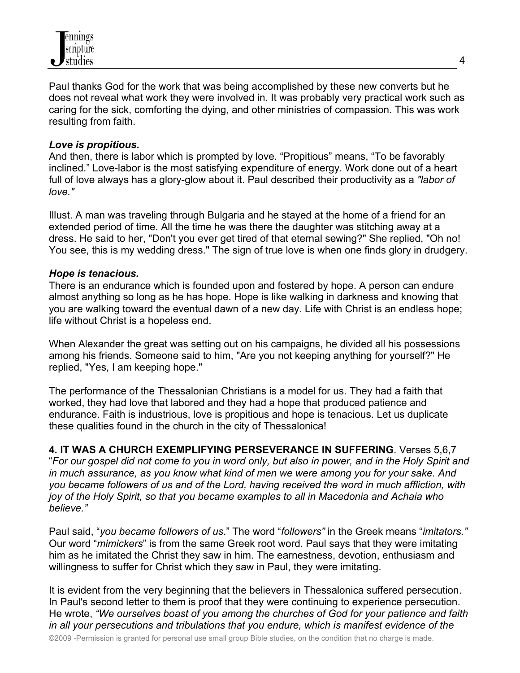

Paul thanks God for the work that was being accomplished by these new converts but he does not reveal what work they were involved in. It was probably very practical work such as caring for the sick, comforting the dying, and other ministries of compassion. This was work resulting from faith.

### *Love is propitious.*

And then, there is labor which is prompted by love. "Propitious" means, "To be favorably inclined." Love-labor is the most satisfying expenditure of energy. Work done out of a heart full of love always has a glory-glow about it. Paul described their productivity as a *"labor of love."*

Illust. A man was traveling through Bulgaria and he stayed at the home of a friend for an extended period of time. All the time he was there the daughter was stitching away at a dress. He said to her, "Don't you ever get tired of that eternal sewing?" She replied, "Oh no! You see, this is my wedding dress." The sign of true love is when one finds glory in drudgery.

#### *Hope is tenacious.*

There is an endurance which is founded upon and fostered by hope. A person can endure almost anything so long as he has hope. Hope is like walking in darkness and knowing that you are walking toward the eventual dawn of a new day. Life with Christ is an endless hope; life without Christ is a hopeless end.

When Alexander the great was setting out on his campaigns, he divided all his possessions among his friends. Someone said to him, "Are you not keeping anything for yourself?" He replied, "Yes, I am keeping hope."

The performance of the Thessalonian Christians is a model for us. They had a faith that worked, they had love that labored and they had a hope that produced patience and endurance. Faith is industrious, love is propitious and hope is tenacious. Let us duplicate these qualities found in the church in the city of Thessalonica!

**4. IT WAS A CHURCH EXEMPLIFYING PERSEVERANCE IN SUFFERING**. Verses 5,6,7 "*For our gospel did not come to you in word only, but also in power, and in the Holy Spirit and in much assurance, as you know what kind of men we were among you for your sake. And you became followers of us and of the Lord, having received the word in much affliction, with joy of the Holy Spirit, so that you became examples to all in Macedonia and Achaia who believe."*

Paul said, "*you became followers of us*." The word "*followers"* in the Greek means "*imitators."* Our word "*mimickers*" is from the same Greek root word. Paul says that they were imitating him as he imitated the Christ they saw in him. The earnestness, devotion, enthusiasm and willingness to suffer for Christ which they saw in Paul, they were imitating.

It is evident from the very beginning that the believers in Thessalonica suffered persecution. In Paul's second letter to them is proof that they were continuing to experience persecution. He wrote, *"We ourselves boast of you among the churches of God for your patience and faith in all your persecutions and tribulations that you endure, which is manifest evidence of the*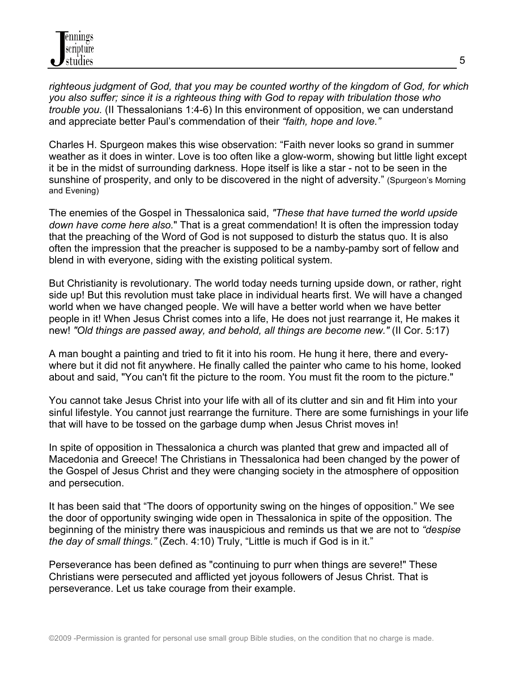*righteous judgment of God, that you may be counted worthy of the kingdom of God, for which you also suffer; since it is a righteous thing with God to repay with tribulation those who trouble you.* (II Thessalonians 1:4-6) In this environment of opposition, we can understand and appreciate better Paul's commendation of their *"faith, hope and love."*

Charles H. Spurgeon makes this wise observation: "Faith never looks so grand in summer weather as it does in winter. Love is too often like a glow-worm, showing but little light except it be in the midst of surrounding darkness. Hope itself is like a star - not to be seen in the sunshine of prosperity, and only to be discovered in the night of adversity." (Spurgeon's Morning and Evening)

The enemies of the Gospel in Thessalonica said, *"These that have turned the world upside down have come here also.*" That is a great commendation! It is often the impression today that the preaching of the Word of God is not supposed to disturb the status quo. It is also often the impression that the preacher is supposed to be a namby-pamby sort of fellow and blend in with everyone, siding with the existing political system.

But Christianity is revolutionary. The world today needs turning upside down, or rather, right side up! But this revolution must take place in individual hearts first. We will have a changed world when we have changed people. We will have a better world when we have better people in it! When Jesus Christ comes into a life, He does not just rearrange it, He makes it new! *"Old things are passed away, and behold, all things are become new."* (II Cor. 5:17)

A man bought a painting and tried to fit it into his room. He hung it here, there and everywhere but it did not fit anywhere. He finally called the painter who came to his home, looked about and said, "You can't fit the picture to the room. You must fit the room to the picture."

You cannot take Jesus Christ into your life with all of its clutter and sin and fit Him into your sinful lifestyle. You cannot just rearrange the furniture. There are some furnishings in your life that will have to be tossed on the garbage dump when Jesus Christ moves in!

In spite of opposition in Thessalonica a church was planted that grew and impacted all of Macedonia and Greece! The Christians in Thessalonica had been changed by the power of the Gospel of Jesus Christ and they were changing society in the atmosphere of opposition and persecution.

It has been said that "The doors of opportunity swing on the hinges of opposition." We see the door of opportunity swinging wide open in Thessalonica in spite of the opposition. The beginning of the ministry there was inauspicious and reminds us that we are not to *"despise the day of small things."* (Zech. 4:10) Truly, "Little is much if God is in it."

Perseverance has been defined as "continuing to purr when things are severe!" These Christians were persecuted and afflicted yet joyous followers of Jesus Christ. That is perseverance. Let us take courage from their example.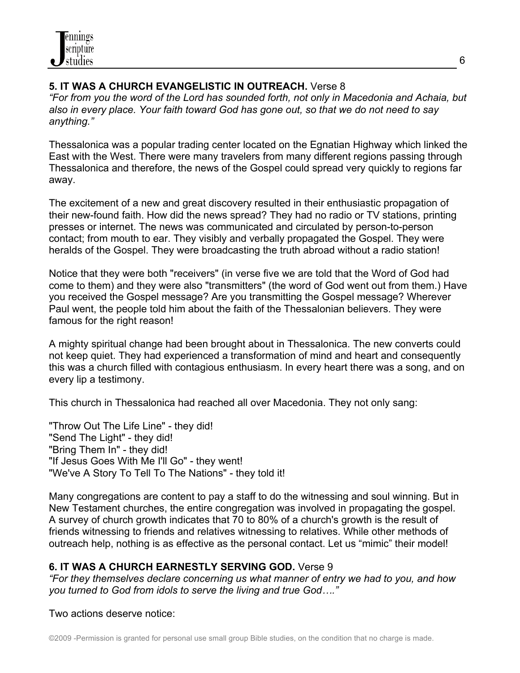# **5. IT WAS A CHURCH EVANGELISTIC IN OUTREACH.** Verse 8

*"For from you the word of the Lord has sounded forth, not only in Macedonia and Achaia, but also in every place. Your faith toward God has gone out, so that we do not need to say anything."*

Thessalonica was a popular trading center located on the Egnatian Highway which linked the East with the West. There were many travelers from many different regions passing through Thessalonica and therefore, the news of the Gospel could spread very quickly to regions far away.

The excitement of a new and great discovery resulted in their enthusiastic propagation of their new-found faith. How did the news spread? They had no radio or TV stations, printing presses or internet. The news was communicated and circulated by person-to-person contact; from mouth to ear. They visibly and verbally propagated the Gospel. They were heralds of the Gospel. They were broadcasting the truth abroad without a radio station!

Notice that they were both "receivers" (in verse five we are told that the Word of God had come to them) and they were also "transmitters" (the word of God went out from them.) Have you received the Gospel message? Are you transmitting the Gospel message? Wherever Paul went, the people told him about the faith of the Thessalonian believers. They were famous for the right reason!

A mighty spiritual change had been brought about in Thessalonica. The new converts could not keep quiet. They had experienced a transformation of mind and heart and consequently this was a church filled with contagious enthusiasm. In every heart there was a song, and on every lip a testimony.

This church in Thessalonica had reached all over Macedonia. They not only sang:

"Throw Out The Life Line" - they did! "Send The Light" - they did! "Bring Them In" - they did! "If Jesus Goes With Me I'll Go" - they went! "We've A Story To Tell To The Nations" - they told it!

Many congregations are content to pay a staff to do the witnessing and soul winning. But in New Testament churches, the entire congregation was involved in propagating the gospel. A survey of church growth indicates that 70 to 80% of a church's growth is the result of friends witnessing to friends and relatives witnessing to relatives. While other methods of outreach help, nothing is as effective as the personal contact. Let us "mimic" their model!

# **6. IT WAS A CHURCH EARNESTLY SERVING GOD.** Verse 9

*"For they themselves declare concerning us what manner of entry we had to you, and how you turned to God from idols to serve the living and true God…."*

## Two actions deserve notice: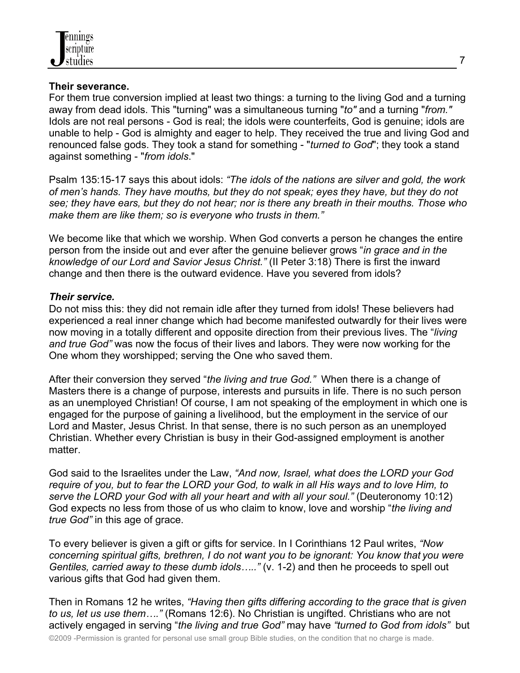## **Their severance.**

For them true conversion implied at least two things: a turning to the living God and a turning away from dead idols. This "turning" was a simultaneous turning "*to"* and a turning "*from."* Idols are not real persons - God is real; the idols were counterfeits, God is genuine; idols are unable to help - God is almighty and eager to help. They received the true and living God and renounced false gods. They took a stand for something - "*turned to God*"; they took a stand against something - "*from idols*."

Psalm 135:15-17 says this about idols: *"The idols of the nations are silver and gold, the work of men's hands. They have mouths, but they do not speak; eyes they have, but they do not see; they have ears, but they do not hear; nor is there any breath in their mouths. Those who make them are like them; so is everyone who trusts in them."* 

We become like that which we worship. When God converts a person he changes the entire person from the inside out and ever after the genuine believer grows "*in grace and in the knowledge of our Lord and Savior Jesus Christ."* (II Peter 3:18) There is first the inward change and then there is the outward evidence. Have you severed from idols?

## *Their service.*

Do not miss this: they did not remain idle after they turned from idols! These believers had experienced a real inner change which had become manifested outwardly for their lives were now moving in a totally different and opposite direction from their previous lives. The "*living and true God"* was now the focus of their lives and labors. They were now working for the One whom they worshipped; serving the One who saved them.

After their conversion they served "*the living and true God."* When there is a change of Masters there is a change of purpose, interests and pursuits in life. There is no such person as an unemployed Christian! Of course, I am not speaking of the employment in which one is engaged for the purpose of gaining a livelihood, but the employment in the service of our Lord and Master, Jesus Christ. In that sense, there is no such person as an unemployed Christian. Whether every Christian is busy in their God-assigned employment is another matter.

God said to the Israelites under the Law, *"And now, Israel, what does the LORD your God require of you, but to fear the LORD your God, to walk in all His ways and to love Him, to serve the LORD your God with all your heart and with all your soul."* (Deuteronomy 10:12) God expects no less from those of us who claim to know, love and worship "*the living and true God"* in this age of grace.

To every believer is given a gift or gifts for service. In I Corinthians 12 Paul writes, *"Now concerning spiritual gifts, brethren, I do not want you to be ignorant: You know that you were Gentiles, carried away to these dumb idols….."* (v. 1-2) and then he proceeds to spell out various gifts that God had given them.

Then in Romans 12 he writes, *"Having then gifts differing according to the grace that is given to us, let us use them…."* (Romans 12:6). No Christian is ungifted. Christians who are not actively engaged in serving "*the living and true God"* may have *"turned to God from idols"* but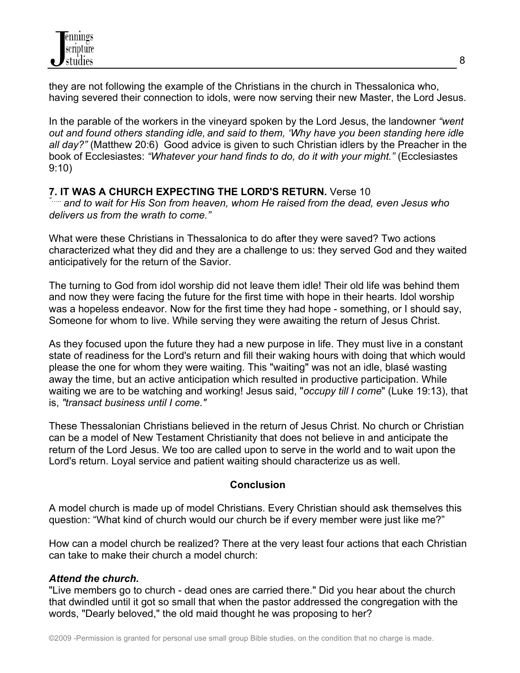

they are not following the example of the Christians in the church in Thessalonica who, having severed their connection to idols, were now serving their new Master, the Lord Jesus.

In the parable of the workers in the vineyard spoken by the Lord Jesus, the landowner *"went out and found others standing idle, and said to them, 'Why have you been standing here idle all day?"* (Matthew 20:6) Good advice is given to such Christian idlers by the Preacher in the book of Ecclesiastes: *"Whatever your hand finds to do, do it with your might."* (Ecclesiastes 9:10)

**7. IT WAS A CHURCH EXPECTING THE LORD'S RETURN.** Verse 10 *"….. and to wait for His Son from heaven, whom He raised from the dead, even Jesus who delivers us from the wrath to come."*

What were these Christians in Thessalonica to do after they were saved? Two actions characterized what they did and they are a challenge to us: they served God and they waited anticipatively for the return of the Savior.

The turning to God from idol worship did not leave them idle! Their old life was behind them and now they were facing the future for the first time with hope in their hearts. Idol worship was a hopeless endeavor. Now for the first time they had hope - something, or I should say, Someone for whom to live. While serving they were awaiting the return of Jesus Christ.

As they focused upon the future they had a new purpose in life. They must live in a constant state of readiness for the Lord's return and fill their waking hours with doing that which would please the one for whom they were waiting. This "waiting" was not an idle, blasé wasting away the time, but an active anticipation which resulted in productive participation. While waiting we are to be watching and working! Jesus said, "*occupy till I come*" (Luke 19:13), that is, *"transact business until I come."*

These Thessalonian Christians believed in the return of Jesus Christ. No church or Christian can be a model of New Testament Christianity that does not believe in and anticipate the return of the Lord Jesus. We too are called upon to serve in the world and to wait upon the Lord's return. Loyal service and patient waiting should characterize us as well.

## **Conclusion**

A model church is made up of model Christians. Every Christian should ask themselves this question: "What kind of church would our church be if every member were just like me?"

How can a model church be realized? There at the very least four actions that each Christian can take to make their church a model church:

## *Attend the church.*

"Live members go to church - dead ones are carried there." Did you hear about the church that dwindled until it got so small that when the pastor addressed the congregation with the words, "Dearly beloved," the old maid thought he was proposing to her?